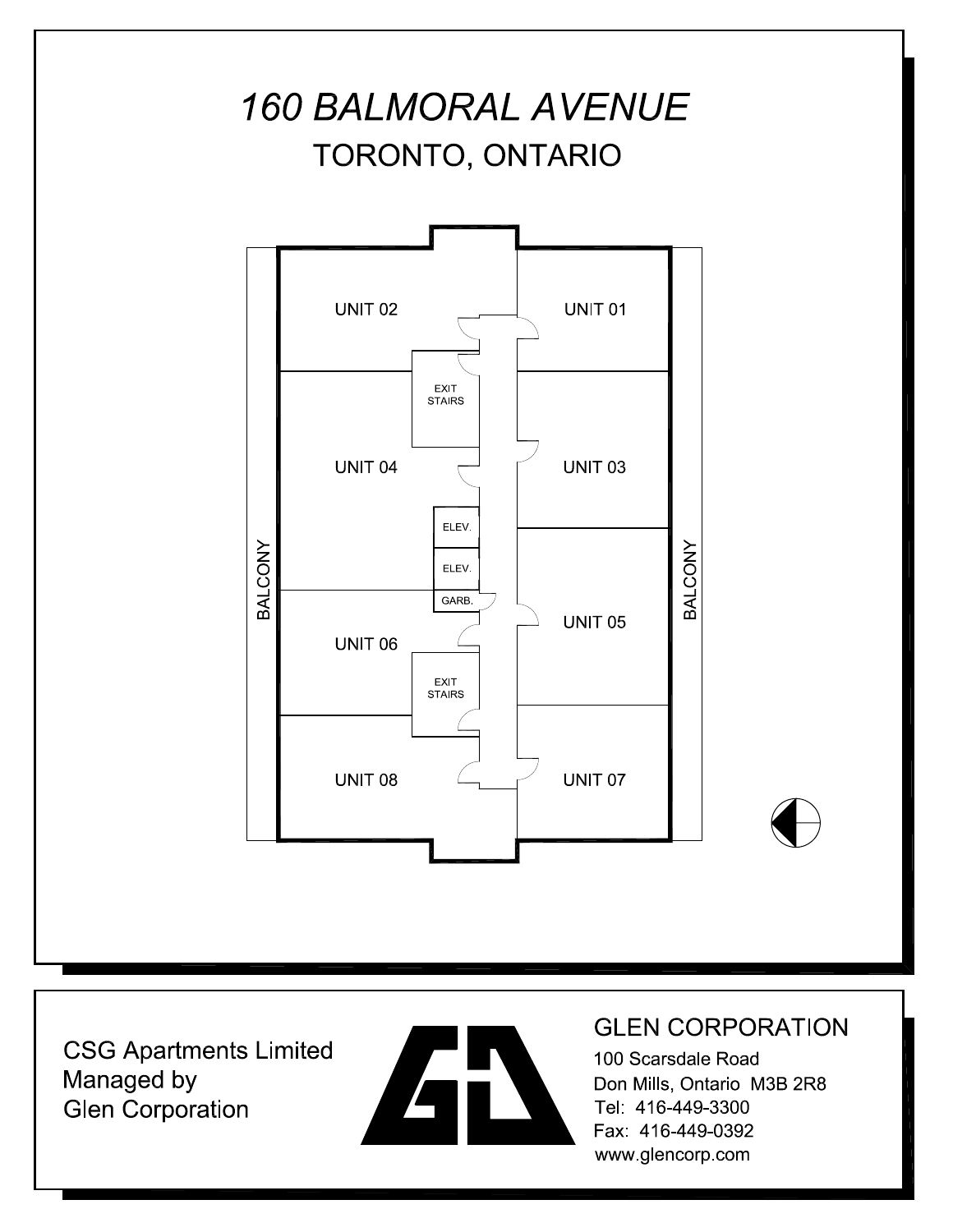



### **GLEN CORPORATION**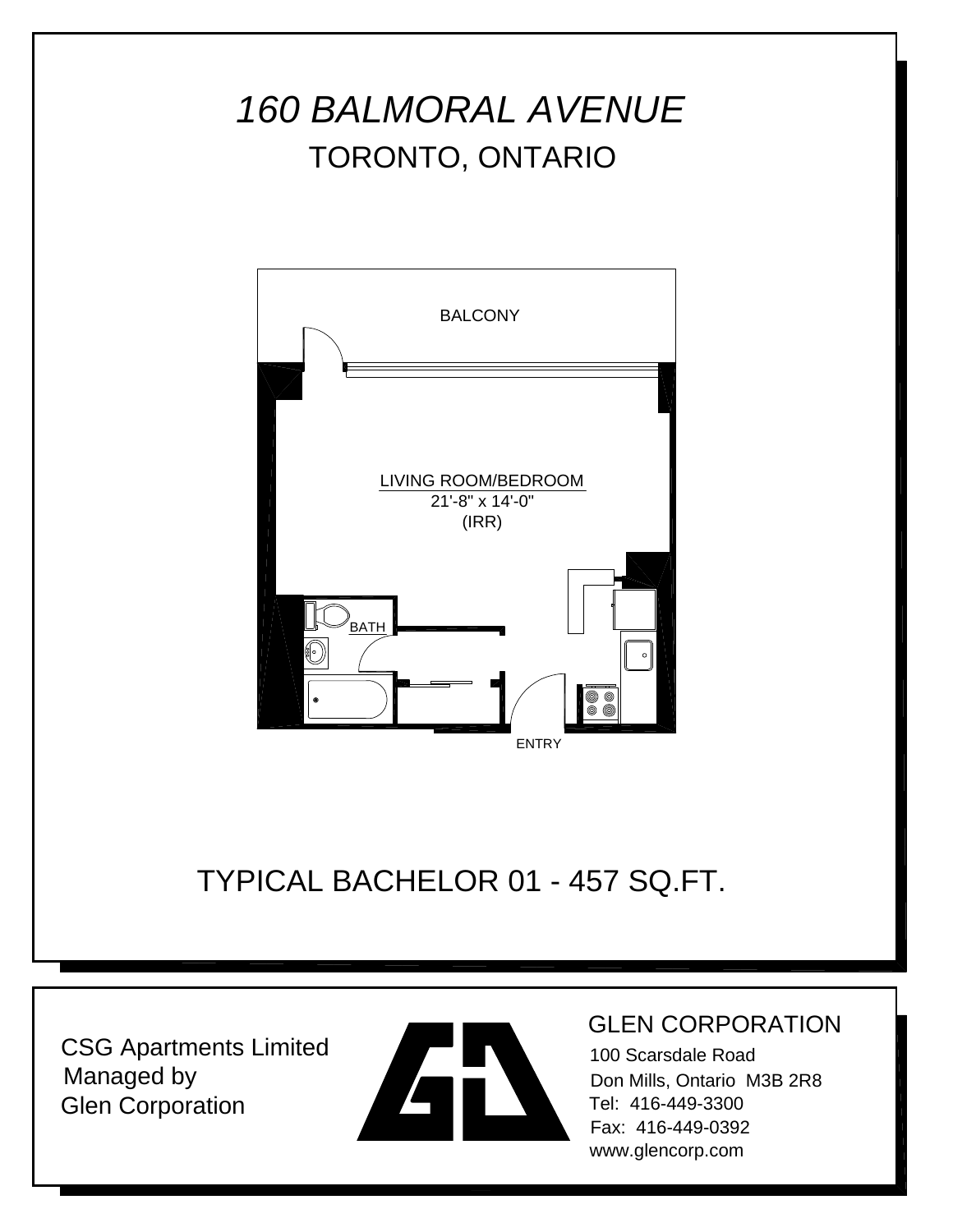

TYPICAL BACHELOR 01 - 457 SQ.FT.

CSG Apartments Limited Managed by Glen Corporation



#### GLEN CORPORATION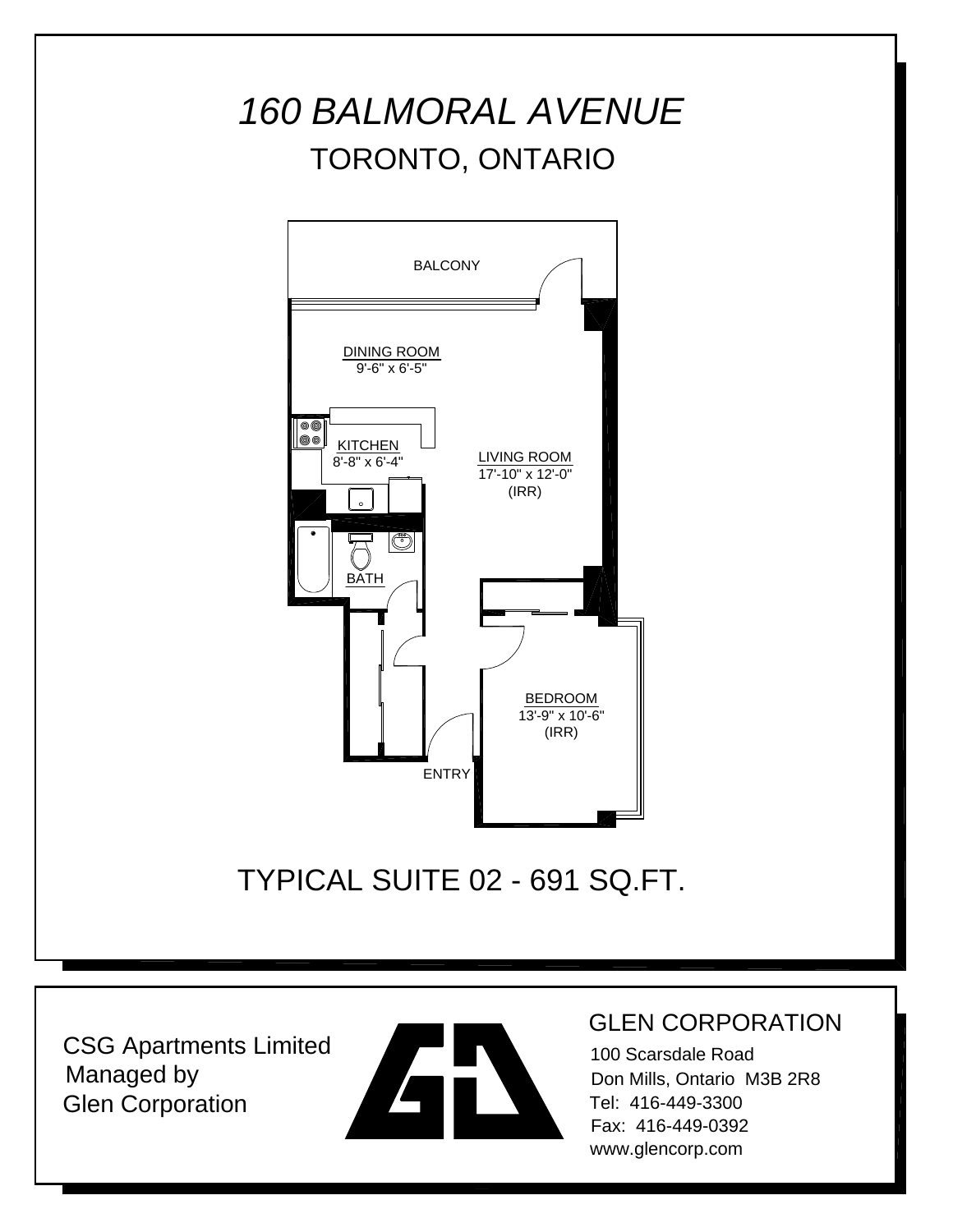

TYPICAL SUITE 02 - 691 SQ.FT.

CSG Apartments Limited Managed by Glen Corporation



#### GLEN CORPORATION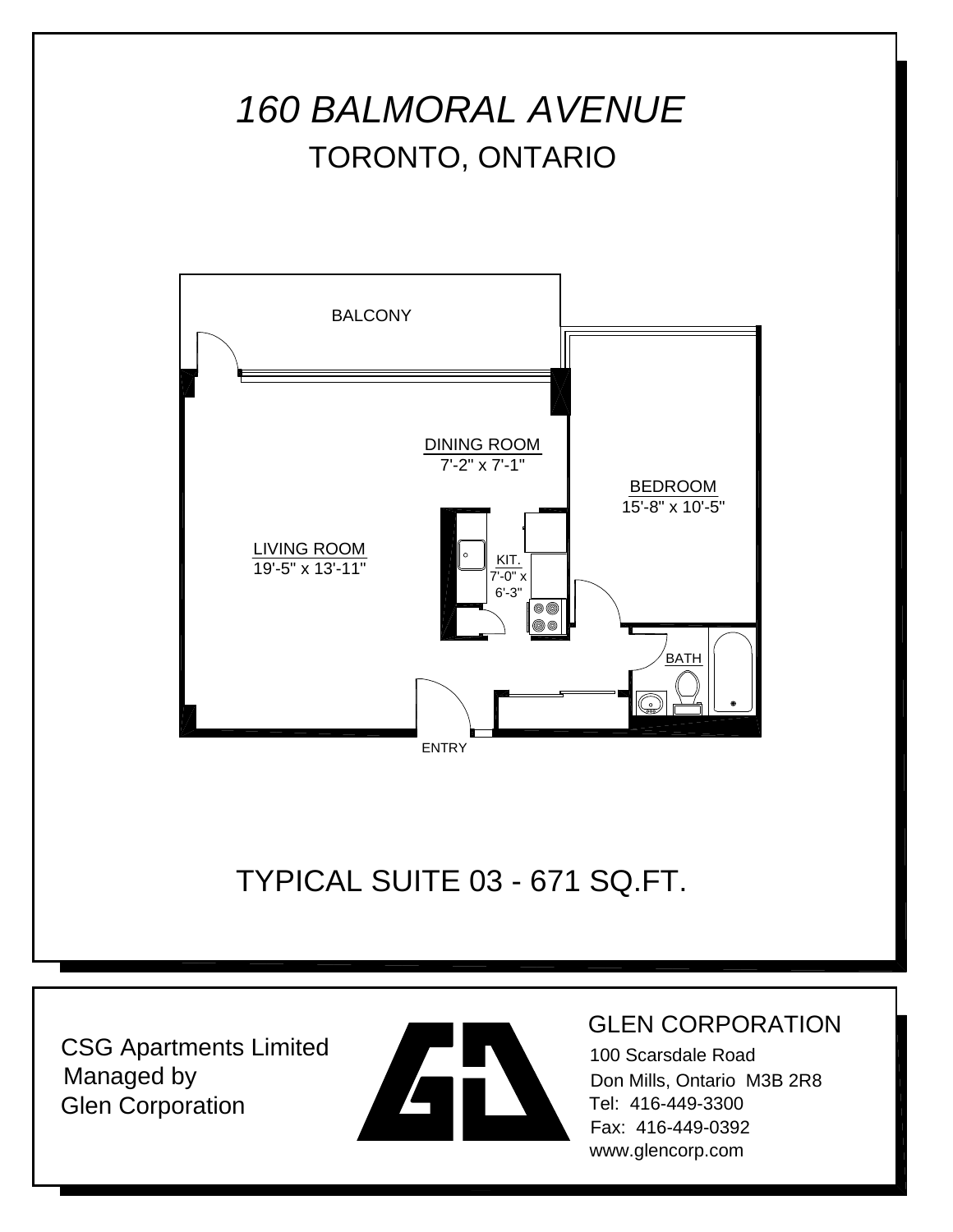



#### GLEN CORPORATION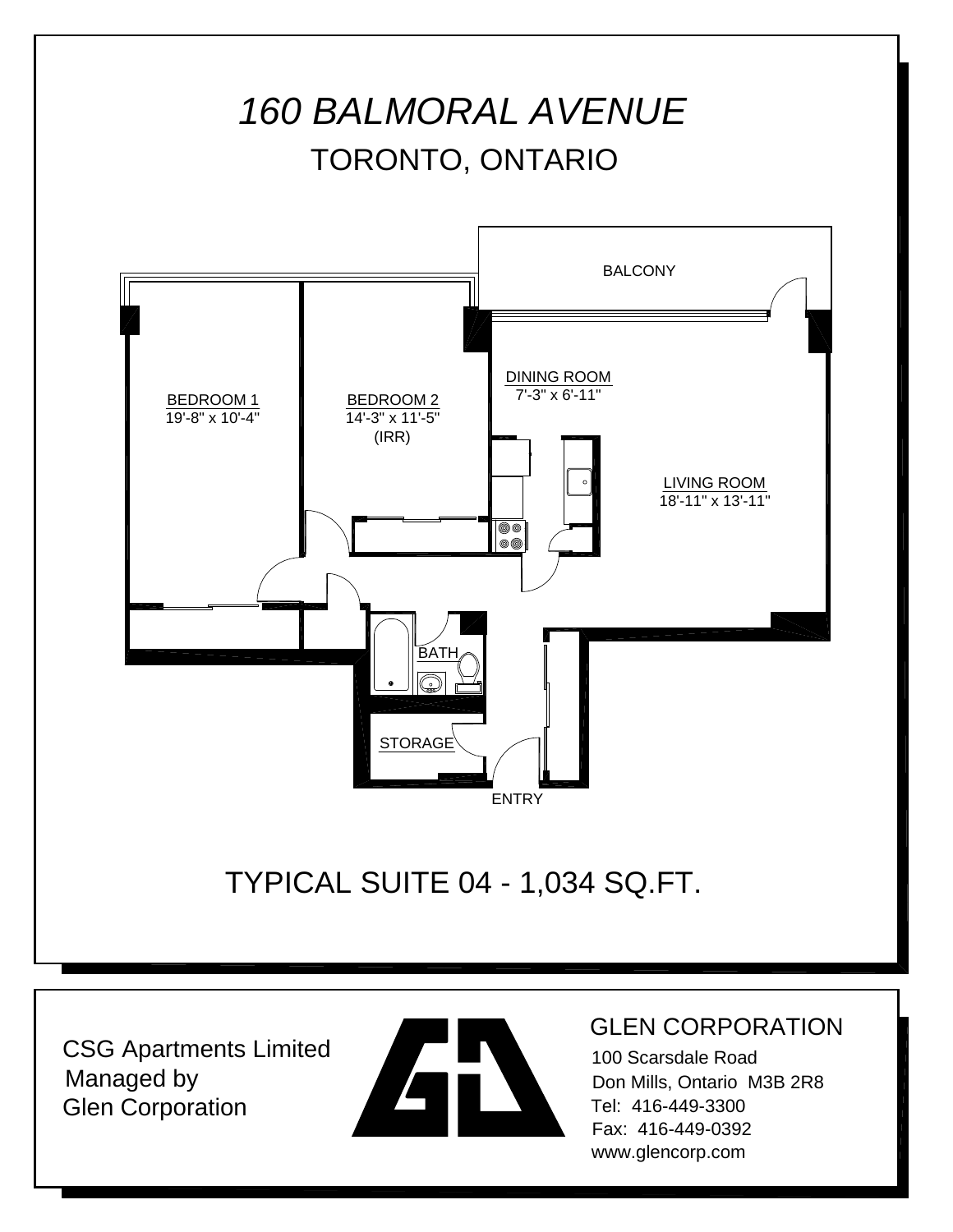



#### GLEN CORPORATION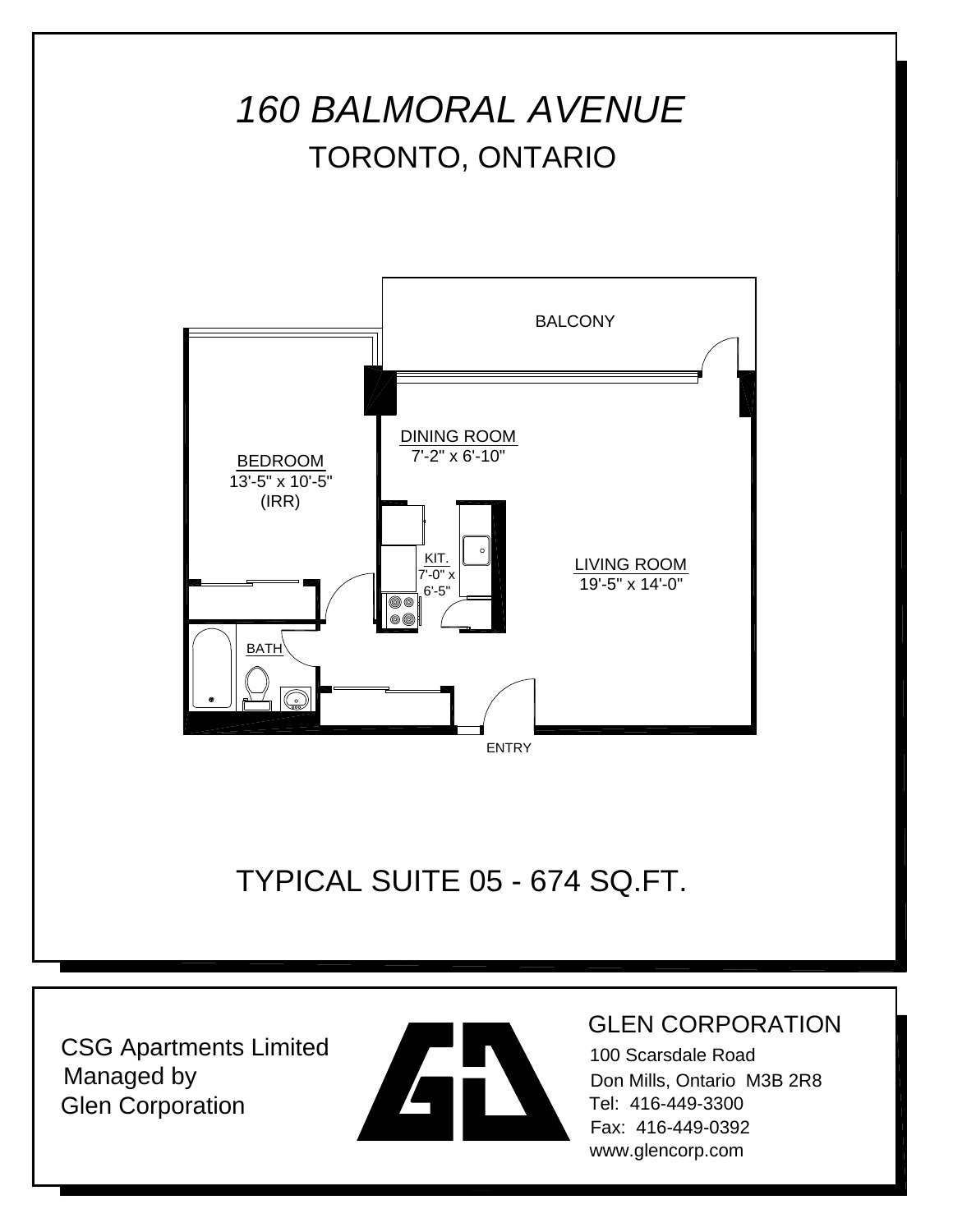



#### GLEN CORPORATION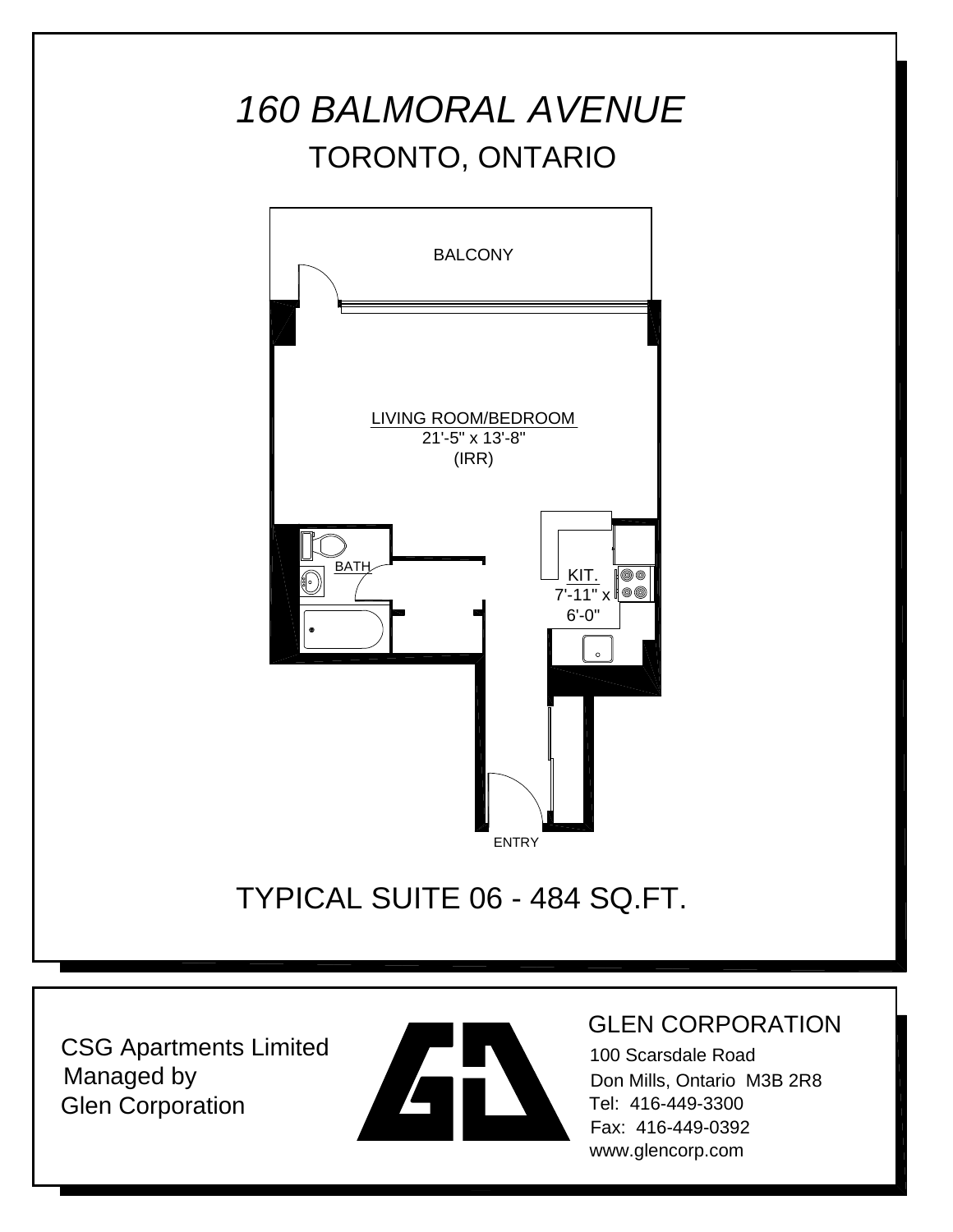

### TYPICAL SUITE 06 - 484 SQ.FT.

CSG Apartments Limited Managed by Glen Corporation



#### GLEN CORPORATION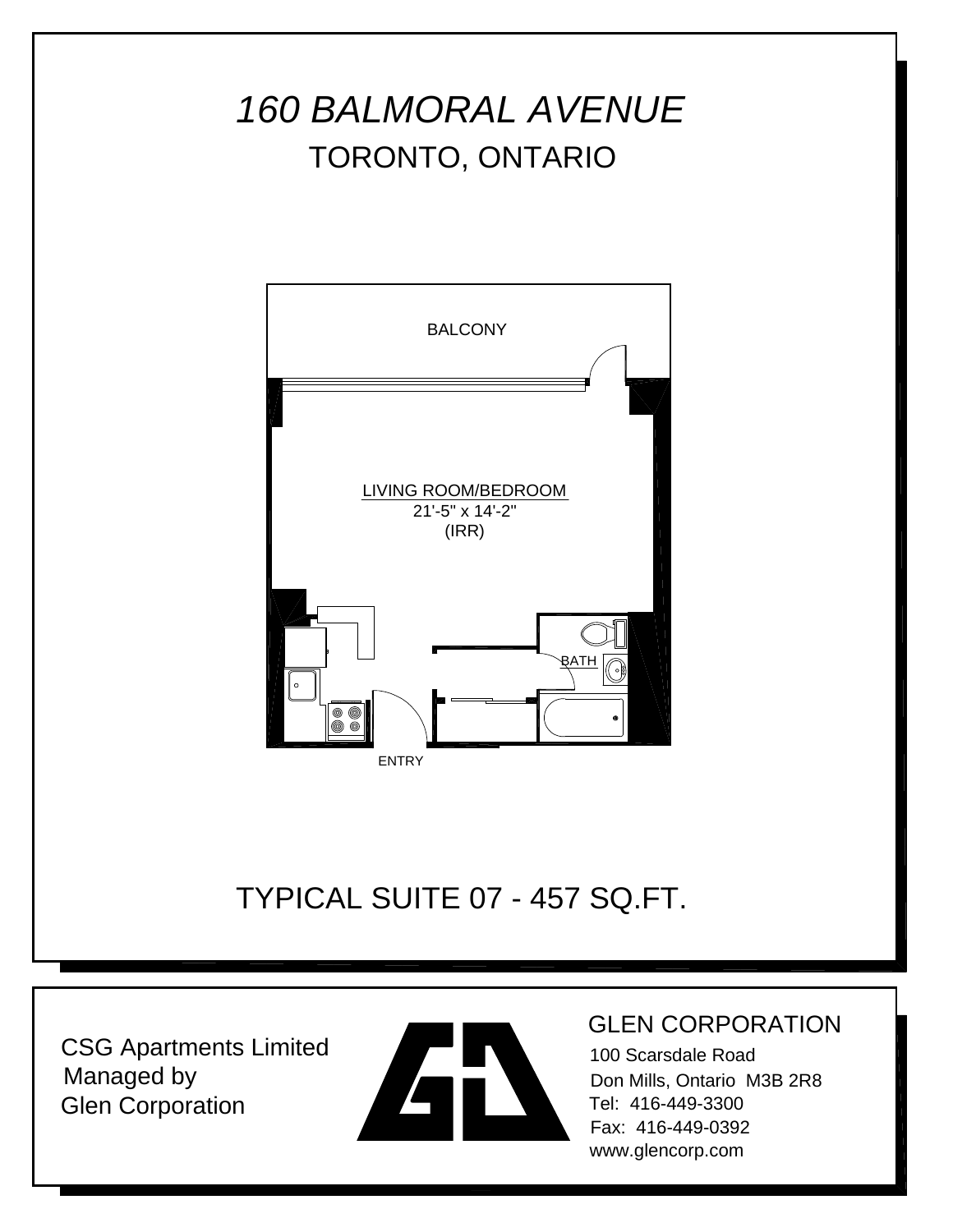

TYPICAL SUITE 07 - 457 SQ.FT.

CSG Apartments Limited Managed by Glen Corporation



#### GLEN CORPORATION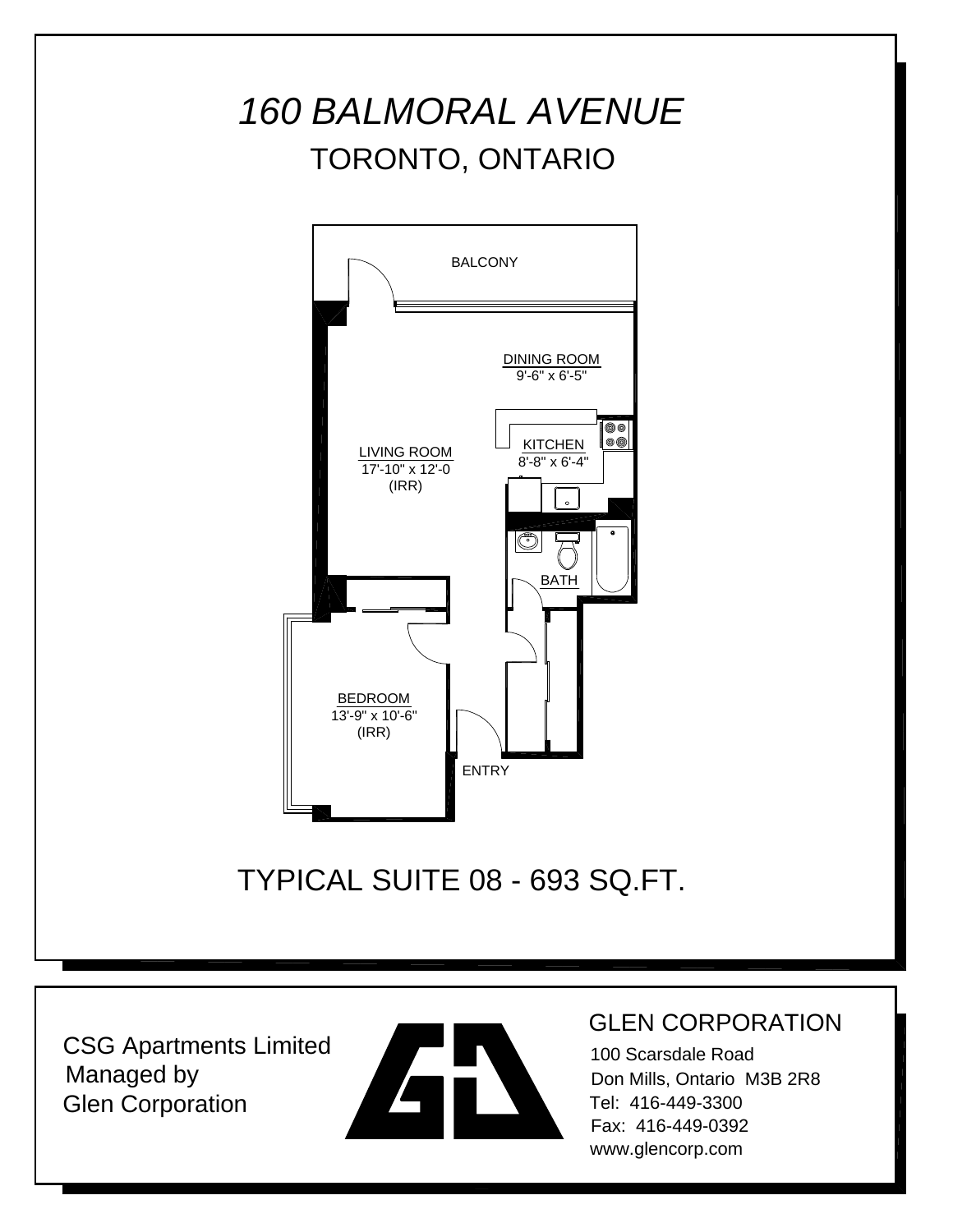

TYPICAL SUITE 08 - 693 SQ.FT.

CSG Apartments Limited Managed by Glen Corporation



#### GLEN CORPORATION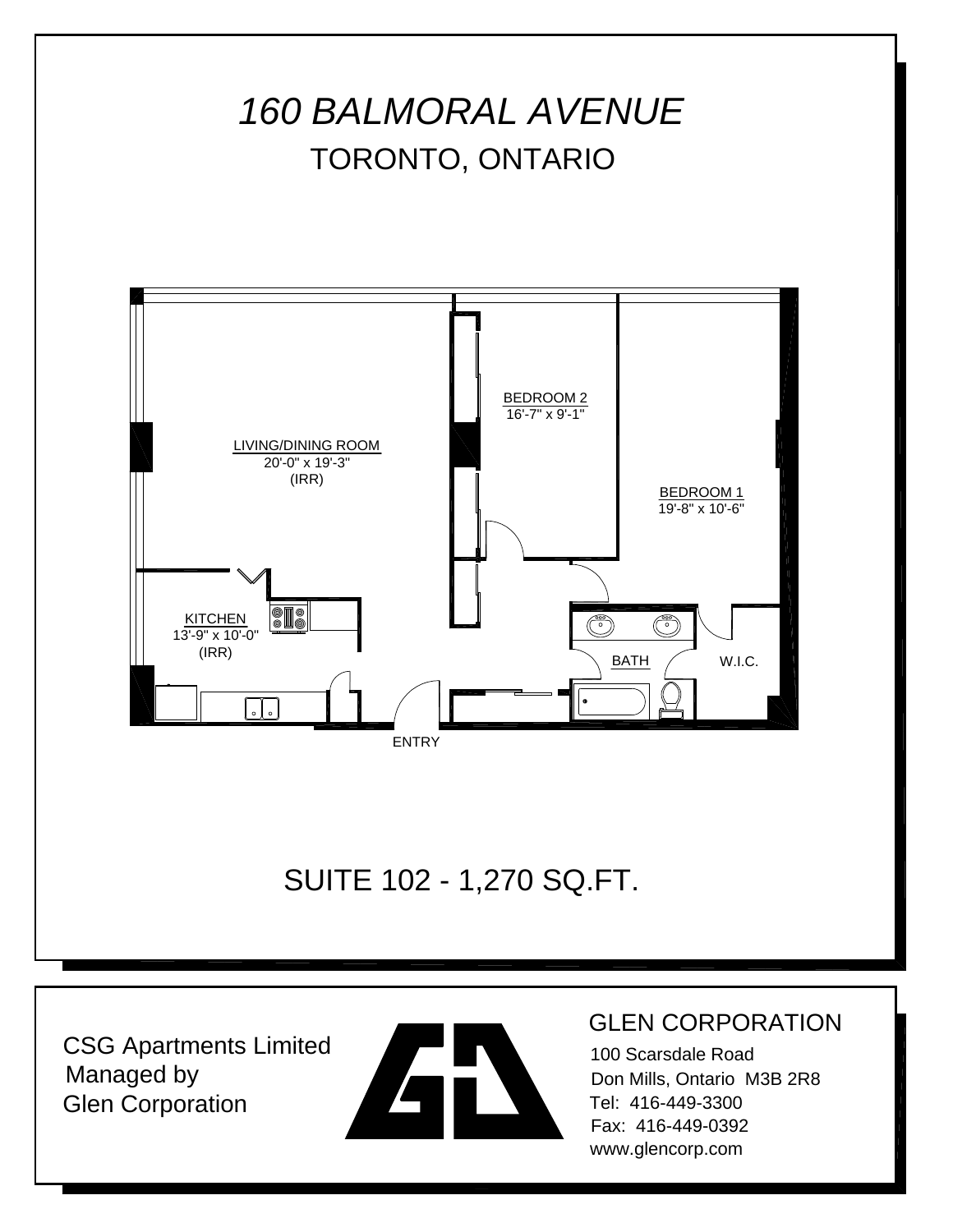



#### GLEN CORPORATION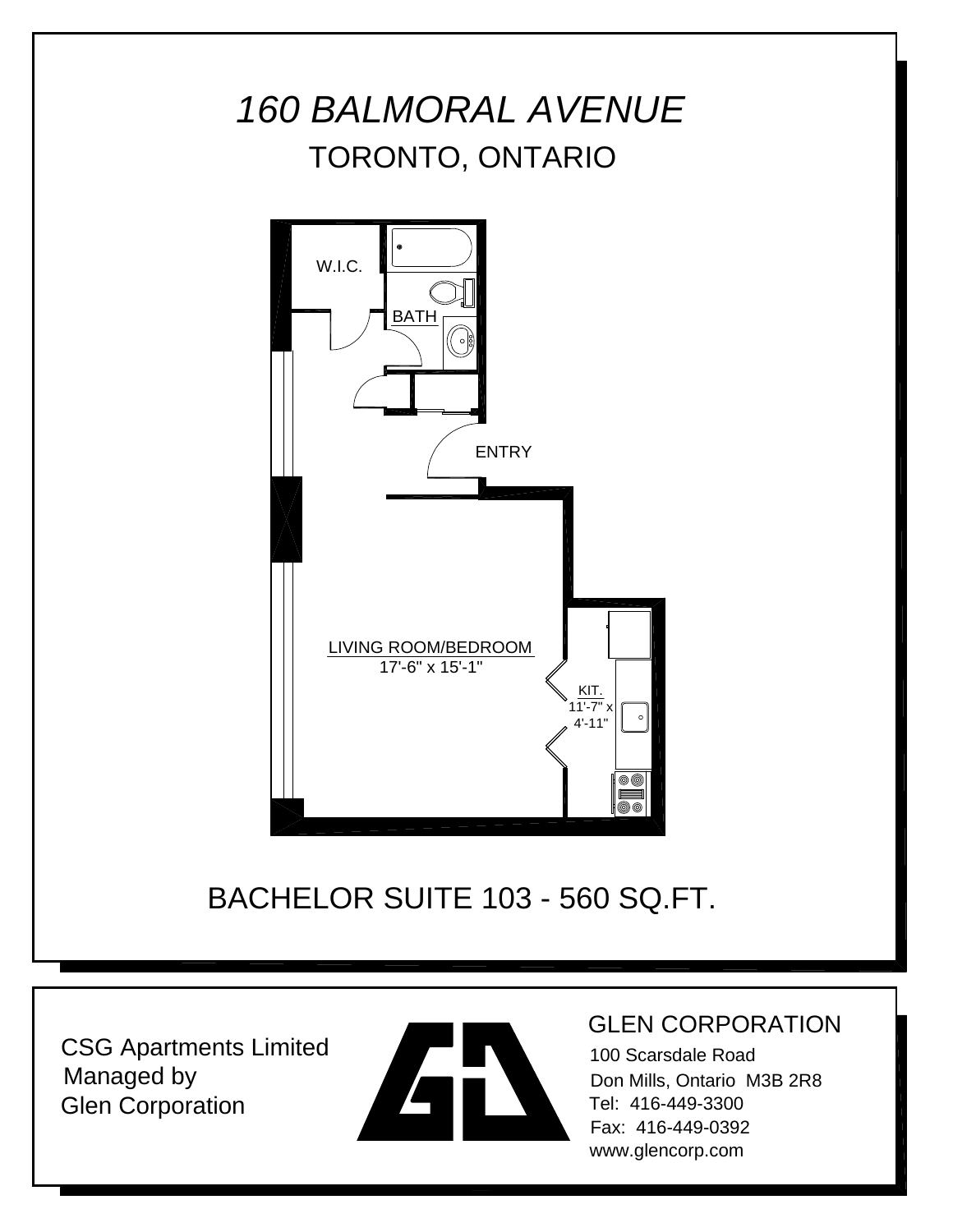



#### GLEN CORPORATION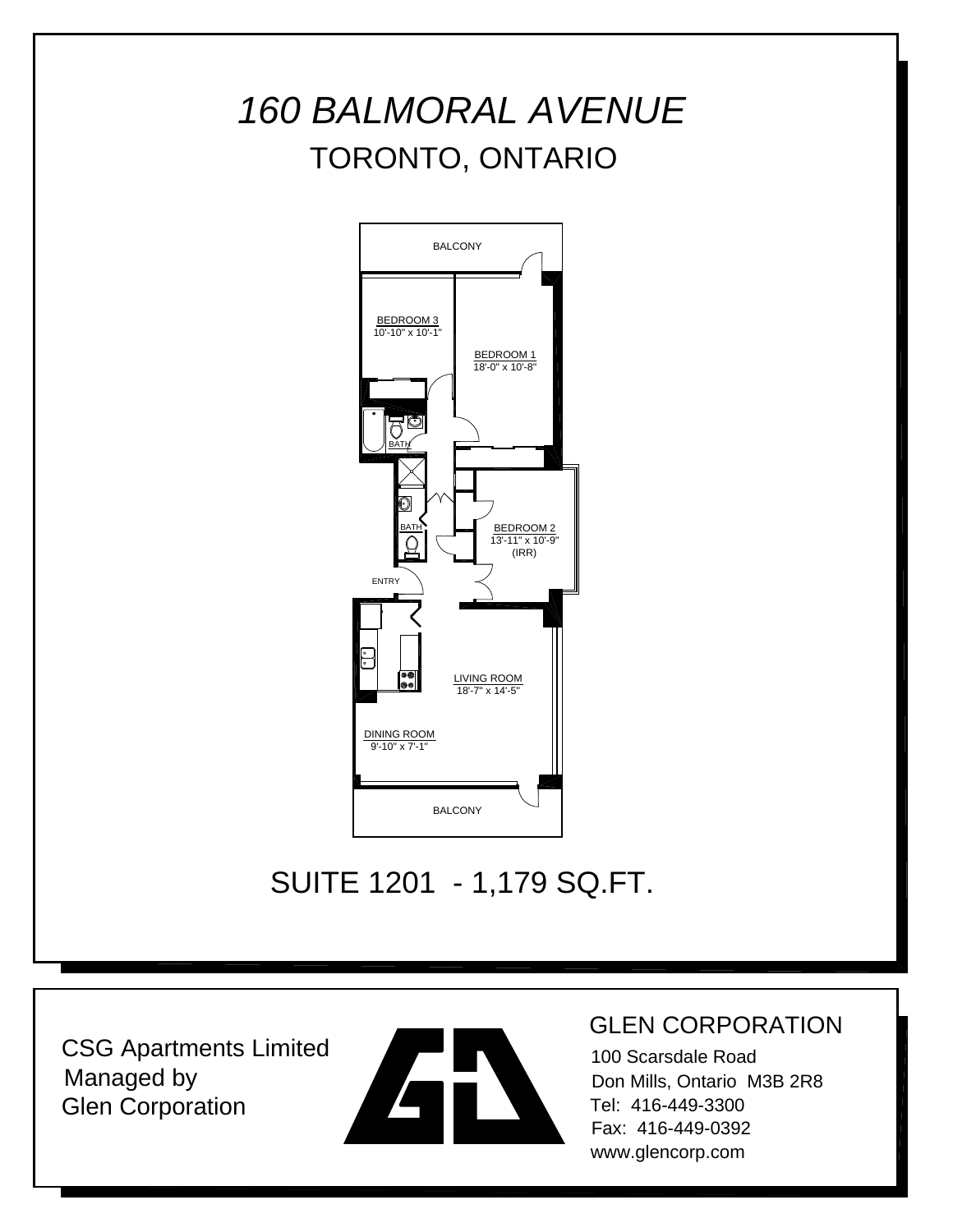



### GLEN CORPORATION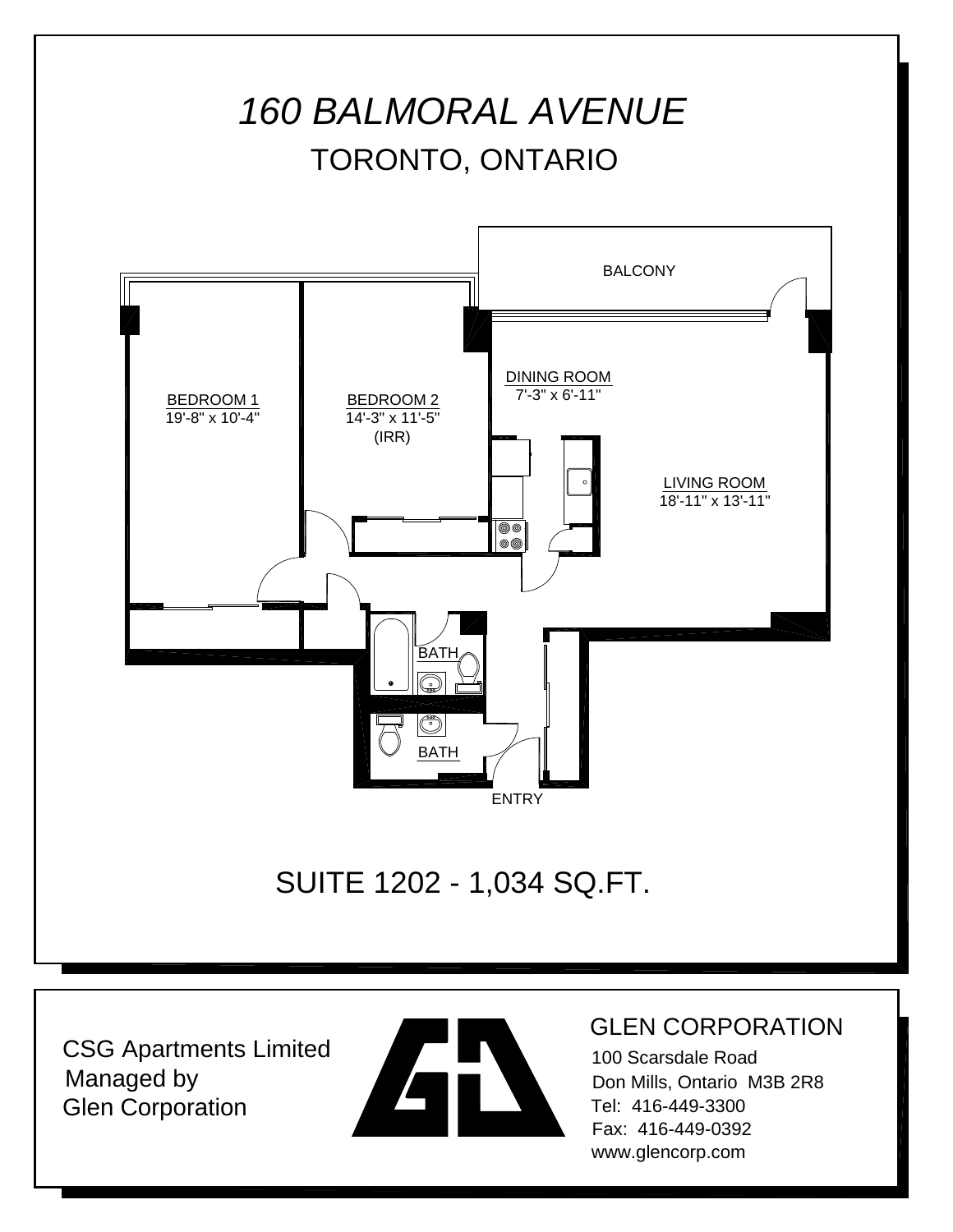



#### GLEN CORPORATION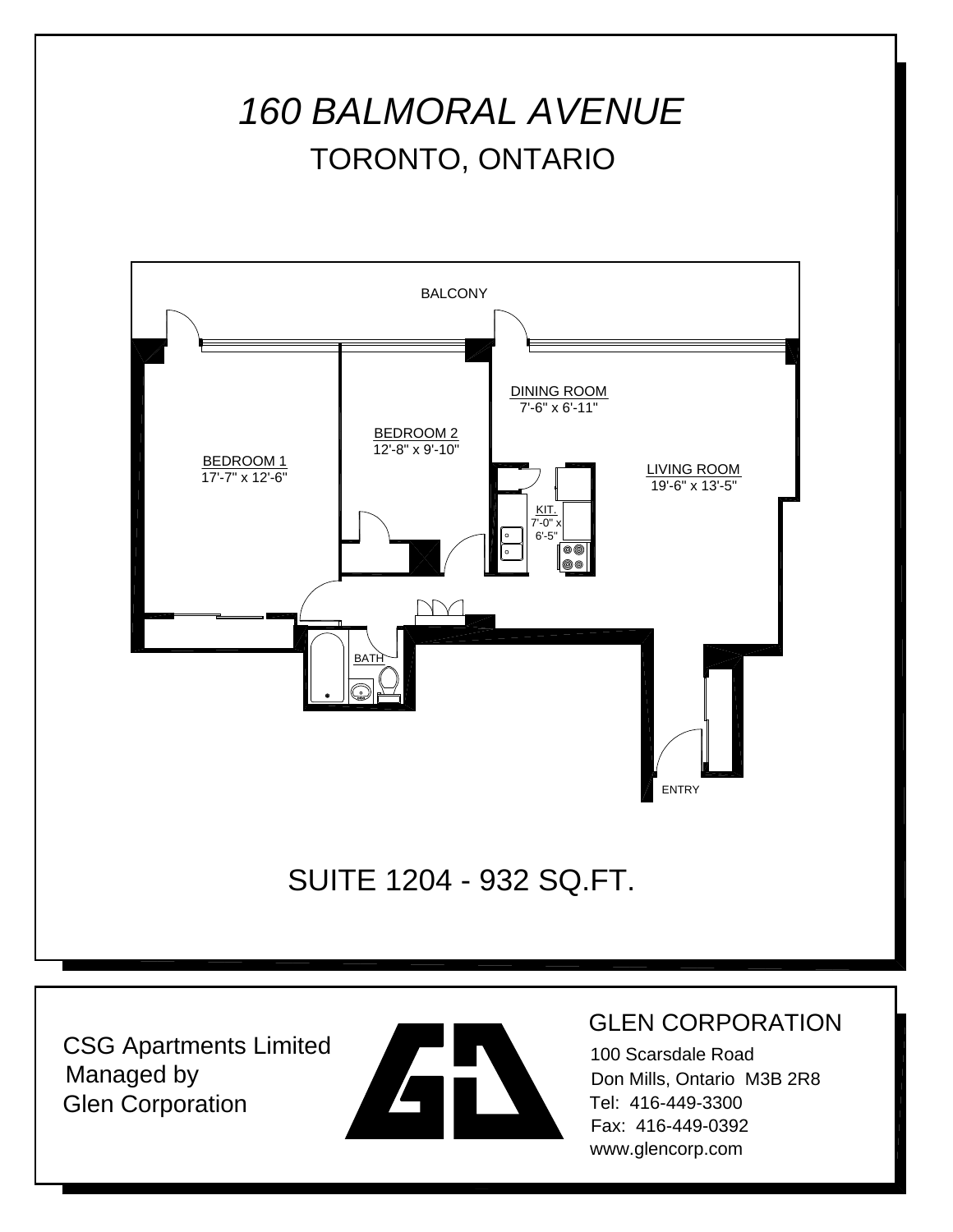

CSG Apartments Limited Managed by Glen Corporation



#### GLEN CORPORATION